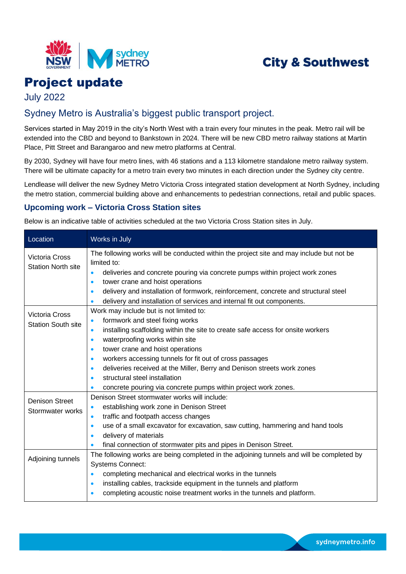

# **City & Southwest**

# Project update

July 2022

## Sydney Metro is Australia's biggest public transport project.

Services started in May 2019 in the city's North West with a train every four minutes in the peak. Metro rail will be extended into the CBD and beyond to Bankstown in 2024. There will be new CBD metro railway stations at Martin Place, Pitt Street and Barangaroo and new metro platforms at Central.

By 2030, Sydney will have four metro lines, with 46 stations and a 113 kilometre standalone metro railway system. There will be ultimate capacity for a metro train every two minutes in each direction under the Sydney city centre.

Lendlease will deliver the new Sydney Metro Victoria Cross integrated station development at North Sydney, including the metro station, commercial building above and enhancements to pedestrian connections, retail and public spaces.

## **Upcoming work – Victoria Cross Station sites**

Below is an indicative table of activities scheduled at the two Victoria Cross Station sites in July.

| Location                                           | Works in July                                                                                           |  |  |
|----------------------------------------------------|---------------------------------------------------------------------------------------------------------|--|--|
| <b>Victoria Cross</b><br><b>Station North site</b> | The following works will be conducted within the project site and may include but not be<br>limited to: |  |  |
|                                                    | deliveries and concrete pouring via concrete pumps within project work zones<br>$\bullet$               |  |  |
|                                                    | tower crane and hoist operations<br>$\bullet$                                                           |  |  |
|                                                    | delivery and installation of formwork, reinforcement, concrete and structural steel<br>$\bullet$        |  |  |
|                                                    | delivery and installation of services and internal fit out components.<br>$\bullet$                     |  |  |
| <b>Victoria Cross</b><br><b>Station South site</b> | Work may include but is not limited to:                                                                 |  |  |
|                                                    | formwork and steel fixing works<br>$\bullet$                                                            |  |  |
|                                                    | installing scaffolding within the site to create safe access for onsite workers<br>$\bullet$            |  |  |
|                                                    | waterproofing works within site<br>$\bullet$                                                            |  |  |
|                                                    | tower crane and hoist operations<br>$\bullet$                                                           |  |  |
|                                                    | workers accessing tunnels for fit out of cross passages<br>$\bullet$                                    |  |  |
|                                                    | deliveries received at the Miller, Berry and Denison streets work zones<br>$\bullet$                    |  |  |
|                                                    | structural steel installation<br>$\bullet$                                                              |  |  |
|                                                    | concrete pouring via concrete pumps within project work zones.<br>$\bullet$                             |  |  |
| <b>Denison Street</b><br>Stormwater works          | Denison Street stormwater works will include:                                                           |  |  |
|                                                    | establishing work zone in Denison Street<br>$\bullet$                                                   |  |  |
|                                                    | traffic and footpath access changes<br>$\bullet$                                                        |  |  |
|                                                    | use of a small excavator for excavation, saw cutting, hammering and hand tools<br>$\bullet$             |  |  |
|                                                    | delivery of materials<br>$\bullet$                                                                      |  |  |
|                                                    | final connection of stormwater pits and pipes in Denison Street.                                        |  |  |
| Adjoining tunnels                                  | The following works are being completed in the adjoining tunnels and will be completed by               |  |  |
|                                                    | <b>Systems Connect:</b>                                                                                 |  |  |
|                                                    | completing mechanical and electrical works in the tunnels<br>$\bullet$                                  |  |  |
|                                                    | installing cables, trackside equipment in the tunnels and platform<br>$\bullet$                         |  |  |
|                                                    | completing acoustic noise treatment works in the tunnels and platform.<br>$\bullet$                     |  |  |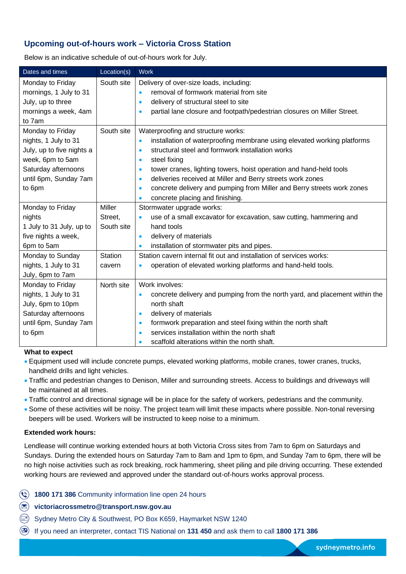## **Upcoming out-of-hours work – Victoria Cross Station**

Below is an indicative schedule of out-of-hours work for July.

| Dates and times           | Location(s)    | <b>Work</b>                                                                              |
|---------------------------|----------------|------------------------------------------------------------------------------------------|
| Monday to Friday          | South site     | Delivery of over-size loads, including:                                                  |
| mornings, 1 July to 31    |                | removal of formwork material from site<br>$\bullet$                                      |
| July, up to three         |                | delivery of structural steel to site<br>$\bullet$                                        |
| mornings a week, 4am      |                | partial lane closure and footpath/pedestrian closures on Miller Street.<br>$\bullet$     |
| to 7am                    |                |                                                                                          |
| Monday to Friday          | South site     | Waterproofing and structure works:                                                       |
| nights, 1 July to 31      |                | installation of waterproofing membrane using elevated working platforms<br>$\bullet$     |
| July, up to five nights a |                | structural steel and formwork installation works<br>$\bullet$                            |
| week, 6pm to 5am          |                | steel fixing<br>$\bullet$                                                                |
| Saturday afternoons       |                | tower cranes, lighting towers, hoist operation and hand-held tools<br>$\bullet$          |
| until 6pm, Sunday 7am     |                | deliveries received at Miller and Berry streets work zones<br>$\bullet$                  |
| to 6pm                    |                | concrete delivery and pumping from Miller and Berry streets work zones<br>$\bullet$      |
|                           |                | concrete placing and finishing.<br>$\bullet$                                             |
| Monday to Friday          | <b>Miller</b>  | Stormwater upgrade works:                                                                |
| nights                    | Street,        | use of a small excavator for excavation, saw cutting, hammering and<br>$\bullet$         |
| 1 July to 31 July, up to  | South site     | hand tools                                                                               |
| five nights a week,       |                | delivery of materials<br>$\bullet$                                                       |
| 6pm to 5am                |                | installation of stormwater pits and pipes.<br>$\bullet$                                  |
| Monday to Sunday          | <b>Station</b> | Station cavern internal fit out and installation of services works:                      |
| nights, 1 July to 31      | cavern         | operation of elevated working platforms and hand-held tools.<br>$\bullet$                |
| July, 6pm to 7am          |                |                                                                                          |
| Monday to Friday          | North site     | Work involves:                                                                           |
| nights, 1 July to 31      |                | concrete delivery and pumping from the north yard, and placement within the<br>$\bullet$ |
| July, 6pm to 10pm         |                | north shaft                                                                              |
| Saturday afternoons       |                | delivery of materials<br>$\bullet$                                                       |
| until 6pm, Sunday 7am     |                | formwork preparation and steel fixing within the north shaft<br>$\bullet$                |
| to 6pm                    |                | services installation within the north shaft<br>$\bullet$                                |
|                           |                | scaffold alterations within the north shaft.<br>é                                        |

#### **What to expect**

- Equipment used will include concrete pumps, elevated working platforms, mobile cranes, tower cranes, trucks, handheld drills and light vehicles.
- Traffic and pedestrian changes to Denison, Miller and surrounding streets. Access to buildings and driveways will be maintained at all times.
- Traffic control and directional signage will be in place for the safety of workers, pedestrians and the community.
- Some of these activities will be noisy. The project team will limit these impacts where possible. Non-tonal reversing beepers will be used. Workers will be instructed to keep noise to a minimum.

#### **Extended work hours:**

Lendlease will continue working extended hours at both Victoria Cross sites from 7am to 6pm on Saturdays and Sundays. During the extended hours on Saturday 7am to 8am and 1pm to 6pm, and Sunday 7am to 6pm, there will be no high noise activities such as rock breaking, rock hammering, sheet piling and pile driving occurring. These extended working hours are reviewed and approved under the standard out-of-hours works approval process.

**1800 171 386** Community information line open 24 hours

**victoriacrossmetro@transport.nsw.gov.au**

- Sydney Metro City & Southwest, PO Box K659, Haymarket NSW 1240
- If you need an interpreter, contact TIS National on **131 450** and ask them to call **1800 171 386**